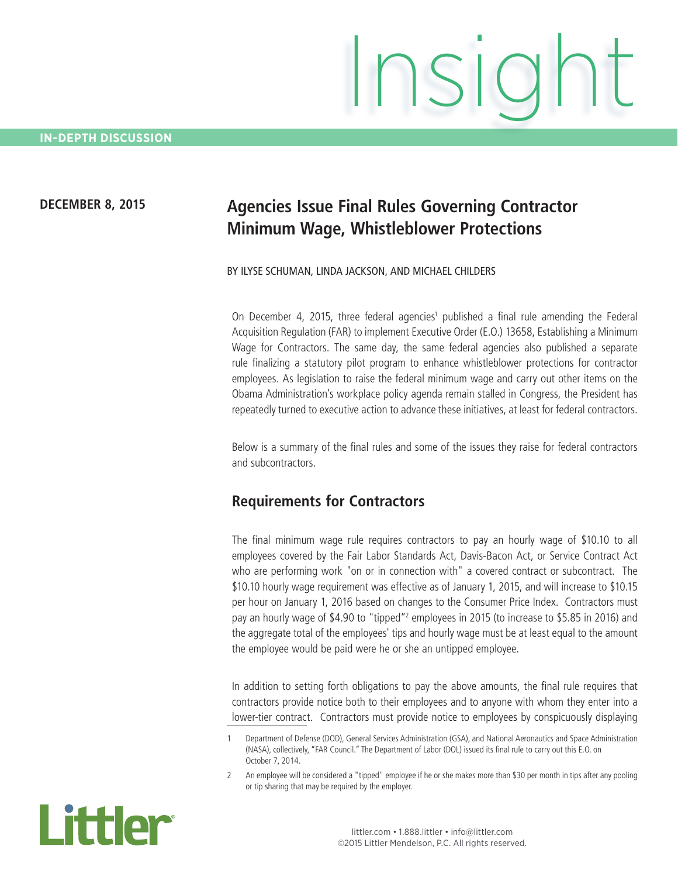#### **DECEMBER 8, 2015**

# **Agencies Issue Final Rules Governing Contractor Minimum Wage, Whistleblower Protections**

#### BY ILYSE SCHUMAN, LINDA JACKSON, AND MICHAEL CHILDERS

On December 4, 2015, three federal agencies<sup>1</sup> published a final rule amending the Federal Acquisition Regulation (FAR) to implement Executive Order (E.O.) 13658, Establishing a Minimum Wage for Contractors. The same day, the same federal agencies also published a separate rule finalizing a statutory pilot program to enhance whistleblower protections for contractor employees. As legislation to raise the federal minimum wage and carry out other items on the Obama Administration's workplace policy agenda remain stalled in Congress, the President has repeatedly turned to executive action to advance these initiatives, at least for federal contractors.

Below is a summary of the final rules and some of the issues they raise for federal contractors and subcontractors.

#### **Requirements for Contractors**

The final minimum wage rule requires contractors to pay an hourly wage of \$10.10 to all employees covered by the Fair Labor Standards Act, Davis-Bacon Act, or Service Contract Act who are performing work "on or in connection with" a covered contract or subcontract. The \$10.10 hourly wage requirement was effective as of January 1, 2015, and will increase to \$10.15 per hour on January 1, 2016 based on changes to the Consumer Price Index. Contractors must pay an hourly wage of \$4.90 to "tipped"<sup>2</sup> employees in 2015 (to increase to \$5.85 in 2016) and the aggregate total of the employees' tips and hourly wage must be at least equal to the amount the employee would be paid were he or she an untipped employee.

In addition to setting forth obligations to pay the above amounts, the final rule requires that contractors provide notice both to their employees and to anyone with whom they enter into a lower-tier contract. Contractors must provide notice to employees by conspicuously displaying

<sup>2</sup> An employee will be considered a "tipped" employee if he or she makes more than \$30 per month in tips after any pooling or tip sharing that may be required by the employer.



<sup>1</sup> Department of Defense (DOD), General Services Administration (GSA), and National Aeronautics and Space Administration (NASA), collectively, "FAR Council." The Department of Labor (DOL) issued its final rule to carry out this E.O. on October 7, 2014.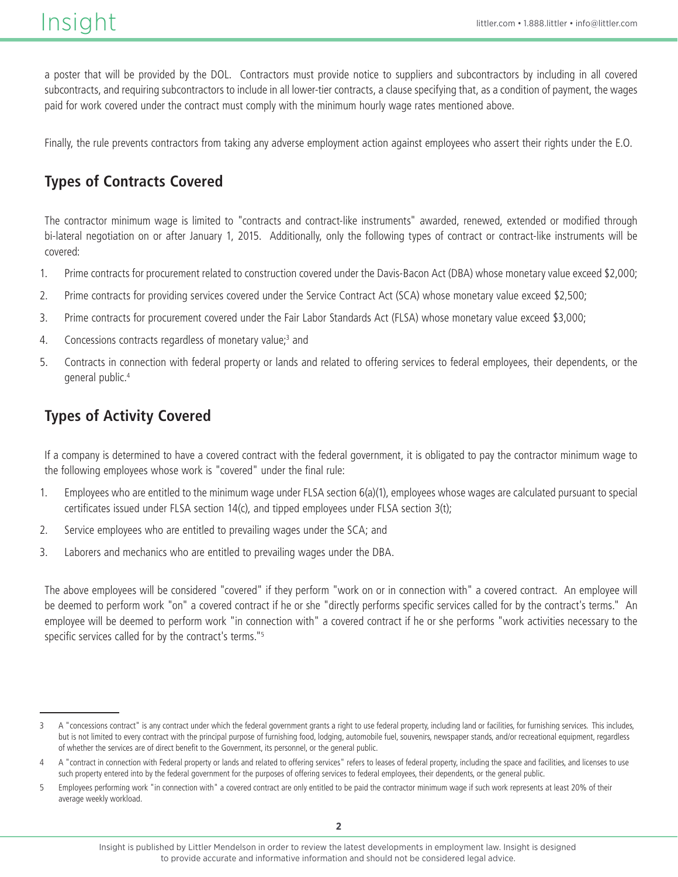a poster that will be provided by the DOL. Contractors must provide notice to suppliers and subcontractors by including in all covered subcontracts, and requiring subcontractors to include in all lower-tier contracts, a clause specifying that, as a condition of payment, the wages paid for work covered under the contract must comply with the minimum hourly wage rates mentioned above.

Finally, the rule prevents contractors from taking any adverse employment action against employees who assert their rights under the E.O.

# **Types of Contracts Covered**

The contractor minimum wage is limited to "contracts and contract-like instruments" awarded, renewed, extended or modified through bi-lateral negotiation on or after January 1, 2015. Additionally, only the following types of contract or contract-like instruments will be covered:

- 1. Prime contracts for procurement related to construction covered under the Davis-Bacon Act (DBA) whose monetary value exceed \$2,000;
- 2. Prime contracts for providing services covered under the Service Contract Act (SCA) whose monetary value exceed \$2,500;
- 3. Prime contracts for procurement covered under the Fair Labor Standards Act (FLSA) whose monetary value exceed \$3,000;
- 4. Concessions contracts regardless of monetary value;<sup>3</sup> and
- 5. Contracts in connection with federal property or lands and related to offering services to federal employees, their dependents, or the general public.4

### **Types of Activity Covered**

If a company is determined to have a covered contract with the federal government, it is obligated to pay the contractor minimum wage to the following employees whose work is "covered" under the final rule:

- 1. Employees who are entitled to the minimum wage under FLSA section 6(a)(1), employees whose wages are calculated pursuant to special certificates issued under FLSA section 14(c), and tipped employees under FLSA section 3(t);
- 2. Service employees who are entitled to prevailing wages under the SCA; and
- 3. Laborers and mechanics who are entitled to prevailing wages under the DBA.

The above employees will be considered "covered" if they perform "work on or in connection with" a covered contract. An employee will be deemed to perform work "on" a covered contract if he or she "directly performs specific services called for by the contract's terms." An employee will be deemed to perform work "in connection with" a covered contract if he or she performs "work activities necessary to the specific services called for by the contract's terms."5

<sup>3</sup> A "concessions contract" is any contract under which the federal government grants a right to use federal property, including land or facilities, for furnishing services. This includes, but is not limited to every contract with the principal purpose of furnishing food, lodging, automobile fuel, souvenirs, newspaper stands, and/or recreational equipment, regardless of whether the services are of direct benefit to the Government, its personnel, or the general public.

<sup>4 &</sup>quot;contract in connection with Federal property or lands and related to offering services" refers to leases of federal property, including the space and facilities, and licenses to use such property entered into by the federal government for the purposes of offering services to federal employees, their dependents, or the general public.

<sup>5</sup> Employees performing work "in connection with" a covered contract are only entitled to be paid the contractor minimum wage if such work represents at least 20% of their average weekly workload.